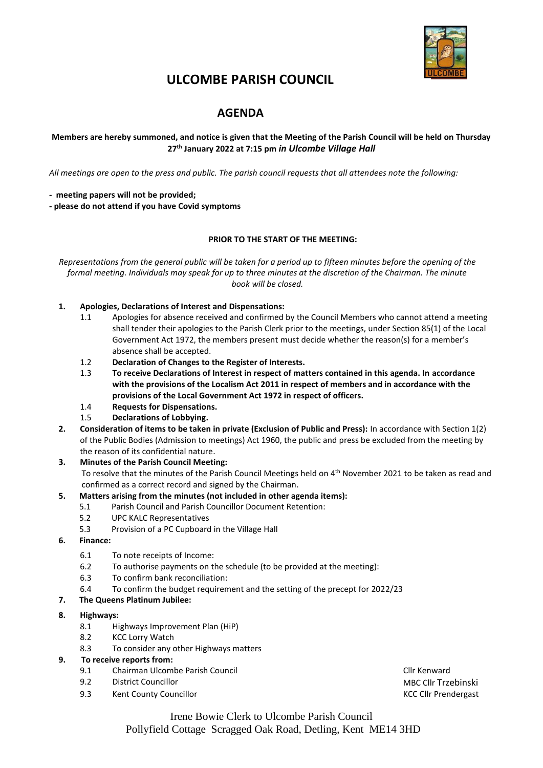

# **ULCOMBE PARISH COUNCIL**

# **AGENDA**

# **Members are hereby summoned, and notice is given that the Meeting of the Parish Council will be held on Thursday 27th January 2022 at 7:15 pm** *in Ulcombe Village Hall*

*All meetings are open to the press and public. The parish council requests that all attendees note the following:*

**- meeting papers will not be provided;**

**- please do not attend if you have Covid symptoms**

# **PRIOR TO THE START OF THE MEETING:**

*Representations from the general public will be taken for a period up to fifteen minutes before the opening of the formal meeting. Individuals may speak for up to three minutes at the discretion of the Chairman. The minute book will be closed.*

# **1. Apologies, Declarations of Interest and Dispensations:**

- 1.1 Apologies for absence received and confirmed by the Council Members who cannot attend a meeting shall tender their apologies to the Parish Clerk prior to the meetings, under Section 85(1) of the Local Government Act 1972, the members present must decide whether the reason(s) for a member's absence shall be accepted.
- 1.2 **Declaration of Changes to the Register of Interests.**
- 1.3 **To receive Declarations of Interest in respect of matters contained in this agenda. In accordance with the provisions of the Localism Act 2011 in respect of members and in accordance with the provisions of the Local Government Act 1972 in respect of officers.**
- 1.4 **Requests for Dispensations.**
- 1.5 **Declarations of Lobbying.**
- **2. Consideration of items to be taken in private (Exclusion of Public and Press):** In accordance with Section 1(2) of the Public Bodies (Admission to meetings) Act 1960, the public and press be excluded from the meeting by the reason of its confidential nature.

# **3. Minutes of the Parish Council Meeting:**

To resolve that the minutes of the Parish Council Meetings held on 4<sup>th</sup> November 2021 to be taken as read and confirmed as a correct record and signed by the Chairman.

# **5. Matters arising from the minutes (not included in other agenda items):**

- 5.1 Parish Council and Parish Councillor Document Retention:
- 5.2 UPC KALC Representatives
- 5.3 Provision of a PC Cupboard in the Village Hall
- **6. Finance:**
	- 6.1 To note receipts of Income:
	- 6.2 To authorise payments on the schedule (to be provided at the meeting):
	- 6.3 To confirm bank reconciliation:
	- 6.4 To confirm the budget requirement and the setting of the precept for 2022/23

# **7. The Queens Platinum Jubilee:**

#### **8. Highways:**

- 8.1 Highways Improvement Plan (HiP)
- 8.2 KCC Lorry Watch
- 8.3 To consider any other Highways matters

# **9. To receive reports from:**

- 9.1 Chairman Ulcombe Parish Council Cline Council Cline Cline Cline Cline Cline Cline Cline Cline Cline Cline
- 9.2 District Councillor MBC Clif Trzebinski
- 9.3 Kent County Councillor Councillor Councillor Council Council Council Council Council Council Council Council Council Council Council Council Council Council Council Council Council Council Council Council Council Counc

Irene Bowie Clerk to Ulcombe Parish Council Pollyfield Cottage Scragged Oak Road, Detling, Kent ME14 3HD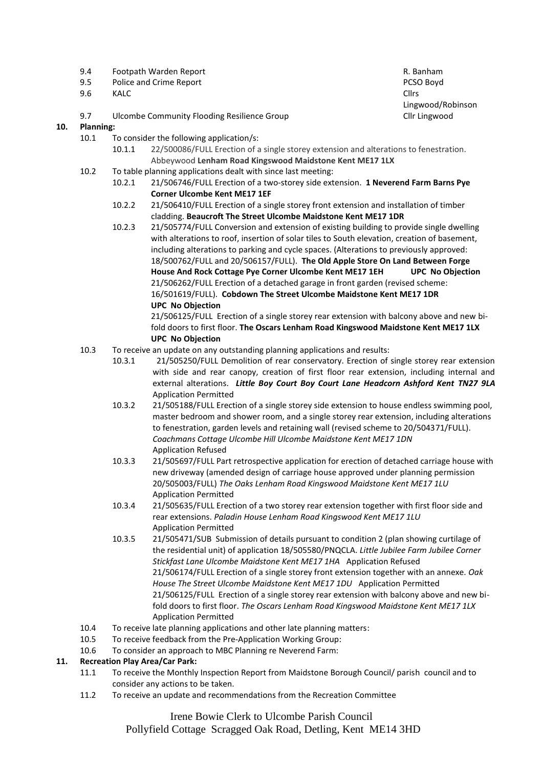- 9.4 Footpath Warden Report R. Banham
- 9.5 Police and Crime Report **PCSO Boyd** PCSO Boyd
- 9.6 KALC CHEES CHEES AND THE CHEES AND THE CHEES AND THE CHEES AND THE CHEES AND THE CHEES
- 9.7 Ulcombe Community Flooding Resilience Group Climate Climate Climate Climate Climate Climate Climate Climate

# **10. Planning:**

- 10.1 To consider the following application/s:
	- 10.1.1 22/500086/FULL Erection of a single storey extension and alterations to fenestration. Abbeywood **Lenham Road Kingswood Maidstone Kent ME17 1LX**
- 10.2 To table planning applications dealt with since last meeting:
	- 10.2.1 21/506746/FULL Erection of a two-storey side extension. **1 Neverend Farm Barns Pye Corner Ulcombe Kent ME17 1EF**
		- 10.2.2 21/506410/FULL Erection of a single storey front extension and installation of timber cladding. **Beaucroft The Street Ulcombe Maidstone Kent ME17 1DR**
		- 10.2.3 21/505774/FULL Conversion and extension of existing building to provide single dwelling with alterations to roof, insertion of solar tiles to South elevation, creation of basement, including alterations to parking and cycle spaces. (Alterations to previously approved: 18/500762/FULL and 20/506157/FULL). **The Old Apple Store On Land Between Forge House And Rock Cottage Pye Corner Ulcombe Kent ME17 1EH UPC No Objection** 21/506262/FULL Erection of a detached garage in front garden (revised scheme: 16/501619/FULL). **Cobdown The Street Ulcombe Maidstone Kent ME17 1DR UPC No Objection**

21/506125/FULL Erection of a single storey rear extension with balcony above and new bifold doors to first floor. **The Oscars Lenham Road Kingswood Maidstone Kent ME17 1LX UPC No Objection**

- 10.3 To receive an update on any outstanding planning applications and results:
	- 10.3.1 21/505250/FULL Demolition of rear conservatory. Erection of single storey rear extension with side and rear canopy, creation of first floor rear extension, including internal and external alterations. *Little Boy Court Boy Court Lane Headcorn Ashford Kent TN27 9LA* Application Permitted
	- 10.3.2 21/505188/FULL Erection of a single storey side extension to house endless swimming pool, master bedroom and shower room, and a single storey rear extension, including alterations to fenestration, garden levels and retaining wall (revised scheme to 20/504371/FULL). *Coachmans Cottage Ulcombe Hill Ulcombe Maidstone Kent ME17 1DN* Application Refused
	- 10.3.3 21/505697/FULL Part retrospective application for erection of detached carriage house with new driveway (amended design of carriage house approved under planning permission 20/505003/FULL) *The Oaks Lenham Road Kingswood Maidstone Kent ME17 1LU* Application Permitted
	- 10.3.4 21/505635/FULL Erection of a two storey rear extension together with first floor side and rear extensions. *Paladin House Lenham Road Kingswood Kent ME17 1LU* Application Permitted
	- 10.3.5 21/505471/SUB Submission of details pursuant to condition 2 (plan showing curtilage of the residential unit) of application 18/505580/PNQCLA. *Little Jubilee Farm Jubilee Corner Stickfast Lane Ulcombe Maidstone Kent ME17 1HA* Application Refused 21/506174/FULL Erection of a single storey front extension together with an annexe. *Oak House The Street Ulcombe Maidstone Kent ME17 1DU*Application Permitted 21/506125/FULL Erection of a single storey rear extension with balcony above and new bifold doors to first floor. *The Oscars Lenham Road Kingswood Maidstone Kent ME17 1LX* Application Permitted
- 10.4 To receive late planning applications and other late planning matters:
- 10.5 To receive feedback from the Pre-Application Working Group:
- 10.6 To consider an approach to MBC Planning re Neverend Farm:

# **11. Recreation Play Area/Car Park:**

- 11.1 To receive the Monthly Inspection Report from Maidstone Borough Council/ parish council and to consider any actions to be taken.
- 11.2 To receive an update and recommendations from the Recreation Committee

Irene Bowie Clerk to Ulcombe Parish Council Pollyfield Cottage Scragged Oak Road, Detling, Kent ME14 3HD

Lingwood/Robinson